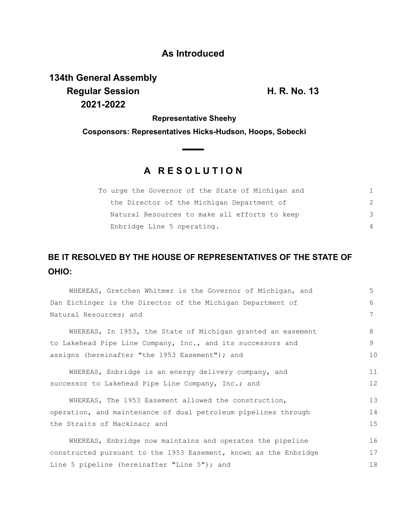## **As Introduced**

**134th General Assembly Regular Session H. R. No. 13 2021-2022**

**Representative Sheehy**

**Cosponsors: Representatives Hicks-Hudson, Hoops, Sobecki**

## **A R E S O L U T I O N**

| To urge the Governor of the State of Michigan and |               |
|---------------------------------------------------|---------------|
| the Director of the Michigan Department of        | $\mathcal{P}$ |
| Natural Resources to make all efforts to keep     | 3             |
| Enbridge Line 5 operating.                        | 4             |

## **BE IT RESOLVED BY THE HOUSE OF REPRESENTATIVES OF THE STATE OF OHIO:**

| WHEREAS, Gretchen Whitmer is the Governor of Michigan, and       | 5  |
|------------------------------------------------------------------|----|
| Dan Eichinger is the Director of the Michigan Department of      | 6  |
| Natural Resources; and                                           | 7  |
| WHEREAS, In 1953, the State of Michigan granted an easement      | 8  |
| to Lakehead Pipe Line Company, Inc., and its successors and      | 9  |
| assigns (hereinafter "the 1953 Easement"); and                   | 10 |
| WHEREAS, Enbridge is an energy delivery company, and             | 11 |
| successor to Lakehead Pipe Line Company, Inc.; and               | 12 |
| WHEREAS, The 1953 Easement allowed the construction,             | 13 |
| operation, and maintenance of dual petroleum pipelines through   | 14 |
| the Straits of Mackinac; and                                     | 15 |
| WHEREAS, Enbridge now maintains and operates the pipeline        | 16 |
| constructed pursuant to the 1953 Easement, known as the Enbridge | 17 |
| Line 5 pipeline (hereinafter "Line 5"); and                      | 18 |